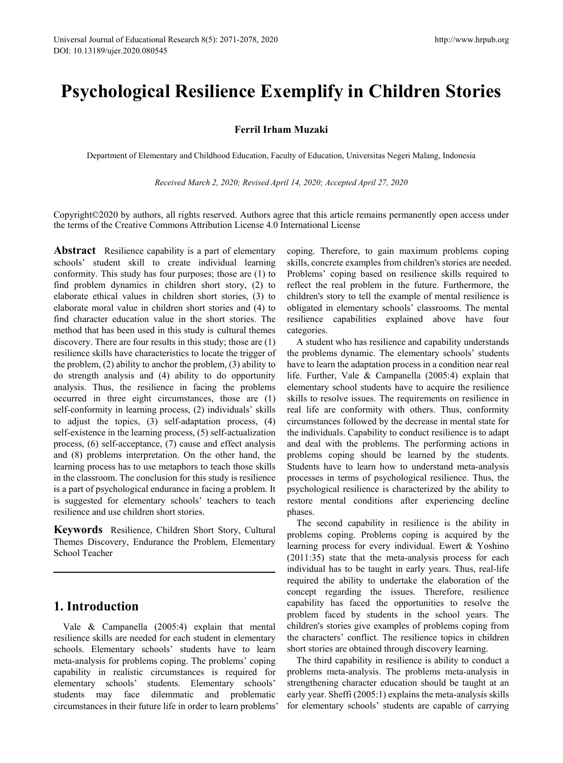# **Psychological Resilience Exemplify in Children Stories**

## **Ferril Irham Muzaki**

Department of Elementary and Childhood Education, Faculty of Education, Universitas Negeri Malang, Indonesia

*Received March 2, 2020; Revised April 14, 2020; Accepted April 27, 2020*

Copyright©2020 by authors, all rights reserved. Authors agree that this article remains permanently open access under the terms of the Creative Commons Attribution License 4.0 International License

**Abstract** Resilience capability is a part of elementary schools' student skill to create individual learning conformity. This study has four purposes; those are (1) to find problem dynamics in children short story, (2) to elaborate ethical values in children short stories, (3) to elaborate moral value in children short stories and (4) to find character education value in the short stories. The method that has been used in this study is cultural themes discovery. There are four results in this study; those are (1) resilience skills have characteristics to locate the trigger of the problem, (2) ability to anchor the problem, (3) ability to do strength analysis and (4) ability to do opportunity analysis. Thus, the resilience in facing the problems occurred in three eight circumstances, those are (1) self-conformity in learning process, (2) individuals' skills to adjust the topics, (3) self-adaptation process, (4) self-existence in the learning process, (5) self-actualization process, (6) self-acceptance, (7) cause and effect analysis and (8) problems interpretation. On the other hand, the learning process has to use metaphors to teach those skills in the classroom. The conclusion for this study is resilience is a part of psychological endurance in facing a problem. It is suggested for elementary schools' teachers to teach resilience and use children short stories.

**Keywords** Resilience, Children Short Story, Cultural Themes Discovery, Endurance the Problem, Elementary School Teacher

# **1. Introduction**

Vale & Campanella (2005:4) explain that mental resilience skills are needed for each student in elementary schools. Elementary schools' students have to learn meta-analysis for problems coping. The problems' coping capability in realistic circumstances is required for elementary schools' students. Elementary schools' students may face dilemmatic and problematic circumstances in their future life in order to learn problems' coping. Therefore, to gain maximum problems coping skills, concrete examples from children's stories are needed. Problems' coping based on resilience skills required to reflect the real problem in the future. Furthermore, the children's story to tell the example of mental resilience is obligated in elementary schools' classrooms. The mental resilience capabilities explained above have four categories.

A student who has resilience and capability understands the problems dynamic. The elementary schools' students have to learn the adaptation process in a condition near real life. Further, Vale & Campanella (2005:4) explain that elementary school students have to acquire the resilience skills to resolve issues. The requirements on resilience in real life are conformity with others. Thus, conformity circumstances followed by the decrease in mental state for the individuals. Capability to conduct resilience is to adapt and deal with the problems. The performing actions in problems coping should be learned by the students. Students have to learn how to understand meta-analysis processes in terms of psychological resilience. Thus, the psychological resilience is characterized by the ability to restore mental conditions after experiencing decline phases.

The second capability in resilience is the ability in problems coping. Problems coping is acquired by the learning process for every individual. Ewert & Yoshino (2011:35) state that the meta-analysis process for each individual has to be taught in early years. Thus, real-life required the ability to undertake the elaboration of the concept regarding the issues. Therefore, resilience capability has faced the opportunities to resolve the problem faced by students in the school years. The children's stories give examples of problems coping from the characters' conflict. The resilience topics in children short stories are obtained through discovery learning.

The third capability in resilience is ability to conduct a problems meta-analysis. The problems meta-analysis in strengthening character education should be taught at an early year. Sheffi (2005:1) explains the meta-analysis skills for elementary schools' students are capable of carrying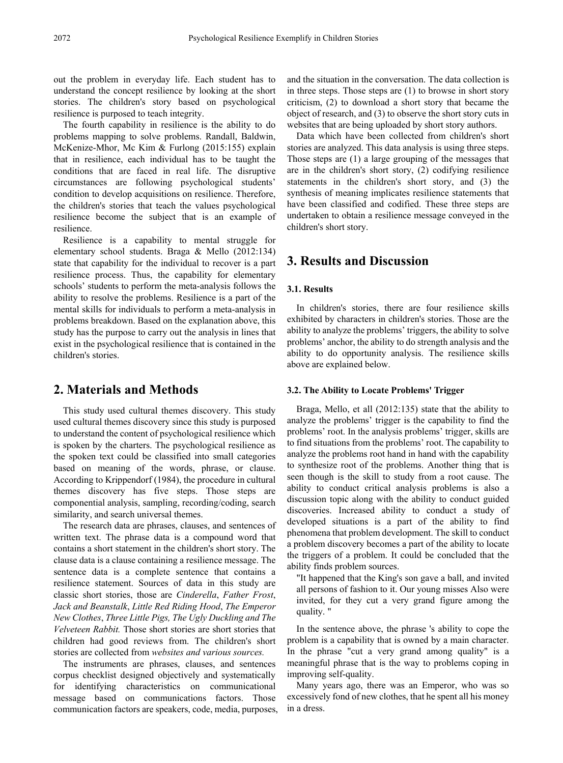out the problem in everyday life. Each student has to understand the concept resilience by looking at the short stories. The children's story based on psychological resilience is purposed to teach integrity.

The fourth capability in resilience is the ability to do problems mapping to solve problems. Randall, Baldwin, McKenize-Mhor, Mc Kim & Furlong (2015:155) explain that in resilience, each individual has to be taught the conditions that are faced in real life. The disruptive circumstances are following psychological students' condition to develop acquisitions on resilience. Therefore, the children's stories that teach the values psychological resilience become the subject that is an example of resilience.

Resilience is a capability to mental struggle for elementary school students. Braga & Mello (2012:134) state that capability for the individual to recover is a part resilience process. Thus, the capability for elementary schools' students to perform the meta-analysis follows the ability to resolve the problems. Resilience is a part of the mental skills for individuals to perform a meta-analysis in problems breakdown. Based on the explanation above, this study has the purpose to carry out the analysis in lines that exist in the psychological resilience that is contained in the children's stories.

# **2. Materials and Methods**

This study used cultural themes discovery. This study used cultural themes discovery since this study is purposed to understand the content of psychological resilience which is spoken by the charters. The psychological resilience as the spoken text could be classified into small categories based on meaning of the words, phrase, or clause. According to Krippendorf (1984), the procedure in cultural themes discovery has five steps. Those steps are componential analysis, sampling, recording/coding, search similarity, and search universal themes.

The research data are phrases, clauses, and sentences of written text. The phrase data is a compound word that contains a short statement in the children's short story. The clause data is a clause containing a resilience message. The sentence data is a complete sentence that contains a resilience statement. Sources of data in this study are classic short stories, those are *Cinderella*, *Father Frost*, *Jack and Beanstalk*, *Little Red Riding Hood*, *The Emperor New Clothes*, *Three Little Pigs, The Ugly Duckling and The Velveteen Rabbit.* Those short stories are short stories that children had good reviews from. The children's short stories are collected from *websites and various sources.*

The instruments are phrases, clauses, and sentences corpus checklist designed objectively and systematically for identifying characteristics on communicational message based on communications factors. Those communication factors are speakers, code, media, purposes, and the situation in the conversation. The data collection is in three steps. Those steps are (1) to browse in short story criticism, (2) to download a short story that became the object of research, and (3) to observe the short story cuts in websites that are being uploaded by short story authors.

Data which have been collected from children's short stories are analyzed. This data analysis is using three steps. Those steps are (1) a large grouping of the messages that are in the children's short story, (2) codifying resilience statements in the children's short story, and (3) the synthesis of meaning implicates resilience statements that have been classified and codified. These three steps are undertaken to obtain a resilience message conveyed in the children's short story.

# **3. Results and Discussion**

#### **3.1. Results**

In children's stories, there are four resilience skills exhibited by characters in children's stories. Those are the ability to analyze the problems' triggers, the ability to solve problems' anchor, the ability to do strength analysis and the ability to do opportunity analysis. The resilience skills above are explained below.

#### **3.2. The Ability to Locate Problems' Trigger**

Braga, Mello, et all (2012:135) state that the ability to analyze the problems' trigger is the capability to find the problems' root. In the analysis problems' trigger, skills are to find situations from the problems' root. The capability to analyze the problems root hand in hand with the capability to synthesize root of the problems. Another thing that is seen though is the skill to study from a root cause. The ability to conduct critical analysis problems is also a discussion topic along with the ability to conduct guided discoveries. Increased ability to conduct a study of developed situations is a part of the ability to find phenomena that problem development. The skill to conduct a problem discovery becomes a part of the ability to locate the triggers of a problem. It could be concluded that the ability finds problem sources.

"It happened that the King's son gave a ball, and invited all persons of fashion to it. Our young misses Also were invited, for they cut a very grand figure among the quality. "

In the sentence above, the phrase 's ability to cope the problem is a capability that is owned by a main character. In the phrase "cut a very grand among quality" is a meaningful phrase that is the way to problems coping in improving self-quality.

Many years ago, there was an Emperor, who was so excessively fond of new clothes, that he spent all his money in a dress.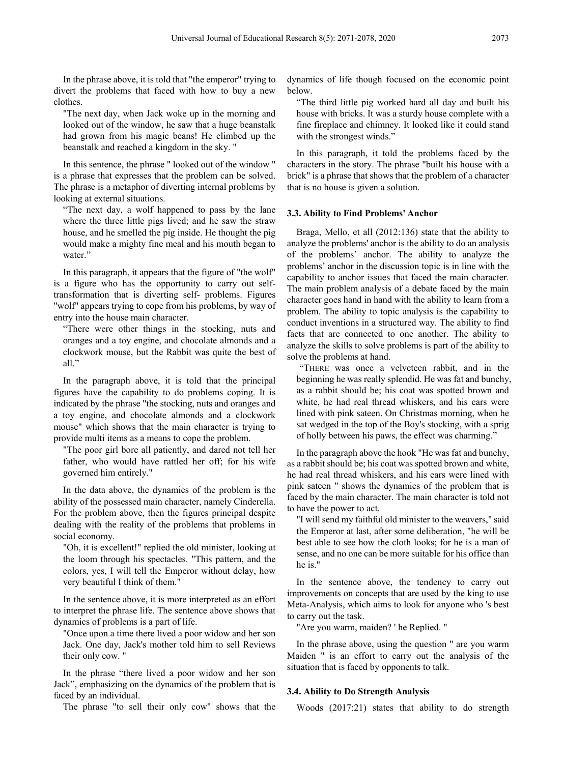In the phrase above, it is told that "the emperor" trying to divert the problems that faced with how to buy a new clothes.

"The next day, when Jack woke up in the morning and looked out of the window, he saw that a huge beanstalk had grown from his magic beans! He climbed up the beanstalk and reached a kingdom in the sky. "

In this sentence, the phrase " looked out of the window " is a phrase that expresses that the problem can be solved. The phrase is a metaphor of diverting internal problems by looking at external situations.

"The next day, a wolf happened to pass by the lane where the three little pigs lived; and he saw the straw house, and he smelled the pig inside. He thought the pig would make a mighty fine meal and his mouth began to water."

In this paragraph, it appears that the figure of "the wolf" is a figure who has the opportunity to carry out selftransformation that is diverting self- problems. Figures "wolf" appears trying to cope from his problems, by way of entry into the house main character.

"There were other things in the stocking, nuts and oranges and a toy engine, and chocolate almonds and a clockwork mouse, but the Rabbit was quite the best of all."

In the paragraph above, it is told that the principal figures have the capability to do problems coping. It is indicated by the phrase "the stocking, nuts and oranges and a toy engine, and chocolate almonds and a clockwork mouse" which shows that the main character is trying to provide multi items as a means to cope the problem.

"The poor girl bore all patiently, and dared not tell her father, who would have rattled her off; for his wife governed him entirely."

In the data above, the dynamics of the problem is the ability of the possessed main character, namely Cinderella. For the problem above, then the figures principal despite dealing with the reality of the problems that problems in social economy.

"Oh, it is excellent!" replied the old minister, looking at the loom through his spectacles. "This pattern, and the colors, yes, I will tell the Emperor without delay, how very beautiful I think of them."

In the sentence above, it is more interpreted as an effort to interpret the phrase life. The sentence above shows that dynamics of problems is a part of life.

"Once upon a time there lived a poor widow and her son Jack. One day, Jack's mother told him to sell Reviews their only cow. "

In the phrase "there lived a poor widow and her son Jack", emphasizing on the dynamics of the problem that is faced by an individual.

The phrase "to sell their only cow" shows that the

dynamics of life though focused on the economic point below.

"The third little pig worked hard all day and built his house with bricks. It was a sturdy house complete with a fine fireplace and chimney. It looked like it could stand with the strongest winds."

In this paragraph, it told the problems faced by the characters in the story. The phrase "built his house with a brick" is a phrase that shows that the problem of a character that is no house is given a solution.

#### **3.3. Ability to Find Problems' Anchor**

Braga, Mello, et all (2012:136) state that the ability to analyze the problems' anchor is the ability to do an analysis of the problems' anchor. The ability to analyze the problems' anchor in the discussion topic is in line with the capability to anchor issues that faced the main character. The main problem analysis of a debate faced by the main character goes hand in hand with the ability to learn from a problem. The ability to topic analysis is the capability to conduct inventions in a structured way. The ability to find facts that are connected to one another. The ability to analyze the skills to solve problems is part of the ability to solve the problems at hand.

"THERE was once a velveteen rabbit, and in the beginning he was really splendid. He was fat and bunchy, as a rabbit should be; his coat was spotted brown and white, he had real thread whiskers, and his ears were lined with pink sateen. On Christmas morning, when he sat wedged in the top of the Boy's stocking, with a sprig of holly between his paws, the effect was charming."

In the paragraph above the hook "He was fat and bunchy, as a rabbit should be; his coat was spotted brown and white, he had real thread whiskers, and his ears were lined with pink sateen " shows the dynamics of the problem that is faced by the main character. The main character is told not to have the power to act.

"I will send my faithful old minister to the weavers," said the Emperor at last, after some deliberation, "he will be best able to see how the cloth looks; for he is a man of sense, and no one can be more suitable for his office than he is."

In the sentence above, the tendency to carry out improvements on concepts that are used by the king to use Meta-Analysis, which aims to look for anyone who 's best to carry out the task.

"Are you warm, maiden? ' he Replied. "

In the phrase above, using the question " are you warm Maiden " is an effort to carry out the analysis of the situation that is faced by opponents to talk.

#### **3.4. Ability to Do Strength Analysis**

Woods (2017:21) states that ability to do strength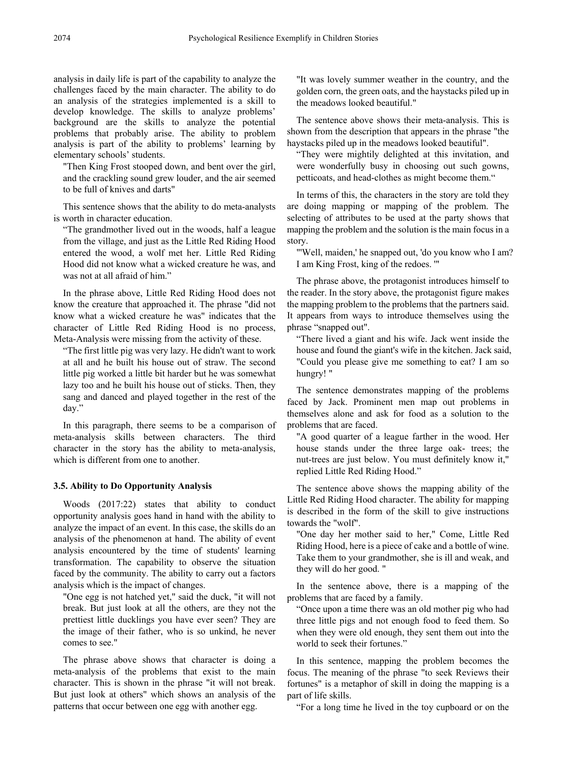analysis in daily life is part of the capability to analyze the challenges faced by the main character. The ability to do an analysis of the strategies implemented is a skill to develop knowledge. The skills to analyze problems' background are the skills to analyze the potential problems that probably arise. The ability to problem analysis is part of the ability to problems' learning by elementary schools' students.

"Then King Frost stooped down, and bent over the girl, and the crackling sound grew louder, and the air seemed to be full of knives and darts"

This sentence shows that the ability to do meta-analysts is worth in character education.

"The grandmother lived out in the woods, half a league from the village, and just as the Little Red Riding Hood entered the wood, a wolf met her. Little Red Riding Hood did not know what a wicked creature he was, and was not at all afraid of him."

In the phrase above, Little Red Riding Hood does not know the creature that approached it. The phrase "did not know what a wicked creature he was" indicates that the character of Little Red Riding Hood is no process, Meta-Analysis were missing from the activity of these.

"The first little pig was very lazy. He didn't want to work at all and he built his house out of straw. The second little pig worked a little bit harder but he was somewhat lazy too and he built his house out of sticks. Then, they sang and danced and played together in the rest of the day."

In this paragraph, there seems to be a comparison of meta-analysis skills between characters. The third character in the story has the ability to meta-analysis, which is different from one to another.

## **3.5. Ability to Do Opportunity Analysis**

Woods (2017:22) states that ability to conduct opportunity analysis goes hand in hand with the ability to analyze the impact of an event. In this case, the skills do an analysis of the phenomenon at hand. The ability of event analysis encountered by the time of students' learning transformation. The capability to observe the situation faced by the community. The ability to carry out a factors analysis which is the impact of changes.

"One egg is not hatched yet," said the duck, "it will not break. But just look at all the others, are they not the prettiest little ducklings you have ever seen? They are the image of their father, who is so unkind, he never comes to see."

The phrase above shows that character is doing a meta-analysis of the problems that exist to the main character. This is shown in the phrase "it will not break. But just look at others" which shows an analysis of the patterns that occur between one egg with another egg.

"It was lovely summer weather in the country, and the golden corn, the green oats, and the haystacks piled up in the meadows looked beautiful."

The sentence above shows their meta-analysis. This is shown from the description that appears in the phrase "the haystacks piled up in the meadows looked beautiful".

"They were mightily delighted at this invitation, and were wonderfully busy in choosing out such gowns, petticoats, and head-clothes as might become them."

In terms of this, the characters in the story are told they are doing mapping or mapping of the problem. The selecting of attributes to be used at the party shows that mapping the problem and the solution is the main focus in a story.

"'Well, maiden,' he snapped out, 'do you know who I am? I am King Frost, king of the redoes. '"

The phrase above, the protagonist introduces himself to the reader. In the story above, the protagonist figure makes the mapping problem to the problems that the partners said. It appears from ways to introduce themselves using the phrase "snapped out".

"There lived a giant and his wife. Jack went inside the house and found the giant's wife in the kitchen. Jack said, "Could you please give me something to eat? I am so hungry! "

The sentence demonstrates mapping of the problems faced by Jack. Prominent men map out problems in themselves alone and ask for food as a solution to the problems that are faced.

"A good quarter of a league farther in the wood. Her house stands under the three large oak- trees; the nut-trees are just below. You must definitely know it," replied Little Red Riding Hood."

The sentence above shows the mapping ability of the Little Red Riding Hood character. The ability for mapping is described in the form of the skill to give instructions towards the "wolf".

"One day her mother said to her," Come, Little Red Riding Hood, here is a piece of cake and a bottle of wine. Take them to your grandmother, she is ill and weak, and they will do her good. "

In the sentence above, there is a mapping of the problems that are faced by a family.

"Once upon a time there was an old mother pig who had three little pigs and not enough food to feed them. So when they were old enough, they sent them out into the world to seek their fortunes."

In this sentence, mapping the problem becomes the focus. The meaning of the phrase "to seek Reviews their fortunes" is a metaphor of skill in doing the mapping is a part of life skills.

"For a long time he lived in the toy cupboard or on the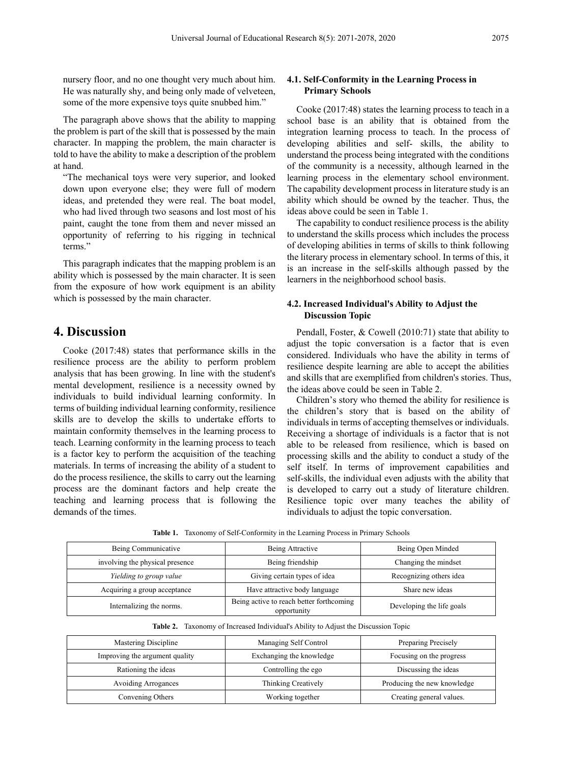nursery floor, and no one thought very much about him. He was naturally shy, and being only made of velveteen, some of the more expensive toys quite snubbed him."

The paragraph above shows that the ability to mapping the problem is part of the skill that is possessed by the main character. In mapping the problem, the main character is told to have the ability to make a description of the problem at hand.

"The mechanical toys were very superior, and looked down upon everyone else; they were full of modern ideas, and pretended they were real. The boat model, who had lived through two seasons and lost most of his paint, caught the tone from them and never missed an opportunity of referring to his rigging in technical terms."

This paragraph indicates that the mapping problem is an ability which is possessed by the main character. It is seen from the exposure of how work equipment is an ability which is possessed by the main character.

# **4. Discussion**

Cooke (2017:48) states that performance skills in the resilience process are the ability to perform problem analysis that has been growing. In line with the student's mental development, resilience is a necessity owned by individuals to build individual learning conformity. In terms of building individual learning conformity, resilience skills are to develop the skills to undertake efforts to maintain conformity themselves in the learning process to teach. Learning conformity in the learning process to teach is a factor key to perform the acquisition of the teaching materials. In terms of increasing the ability of a student to do the process resilience, the skills to carry out the learning process are the dominant factors and help create the teaching and learning process that is following the demands of the times.

### **4.1. Self-Conformity in the Learning Process in Primary Schools**

Cooke (2017:48) states the learning process to teach in a school base is an ability that is obtained from the integration learning process to teach. In the process of developing abilities and self- skills, the ability to understand the process being integrated with the conditions of the community is a necessity, although learned in the learning process in the elementary school environment. The capability development process in literature study is an ability which should be owned by the teacher. Thus, the ideas above could be seen in Table 1.

The capability to conduct resilience process is the ability to understand the skills process which includes the process of developing abilities in terms of skills to think following the literary process in elementary school. In terms of this, it is an increase in the self-skills although passed by the learners in the neighborhood school basis.

### **4.2. Increased Individual's Ability to Adjust the Discussion Topic**

Pendall, Foster, & Cowell (2010:71) state that ability to adjust the topic conversation is a factor that is even considered. Individuals who have the ability in terms of resilience despite learning are able to accept the abilities and skills that are exemplified from children's stories. Thus, the ideas above could be seen in Table 2.

Children's story who themed the ability for resilience is the children's story that is based on the ability of individuals in terms of accepting themselves or individuals. Receiving a shortage of individuals is a factor that is not able to be released from resilience, which is based on processing skills and the ability to conduct a study of the self itself. In terms of improvement capabilities and self-skills, the individual even adjusts with the ability that is developed to carry out a study of literature children. Resilience topic over many teaches the ability of individuals to adjust the topic conversation.

**Table 1.** Taxonomy of Self-Conformity in the Learning Process in Primary Schools

| Being Communicative             | Being Attractive                                        | Being Open Minded         |
|---------------------------------|---------------------------------------------------------|---------------------------|
| involving the physical presence | Being friendship                                        | Changing the mindset      |
| Yielding to group value         | Giving certain types of idea                            | Recognizing others idea   |
| Acquiring a group acceptance    | Have attractive body language                           | Share new ideas           |
| Internalizing the norms.        | Being active to reach better forthcoming<br>opportunity | Developing the life goals |

**Table 2.** Taxonomy of Increased Individual's Ability to Adjust the Discussion Topic

| Mastering Discipline           | Managing Self Control    | Preparing Precisely         |
|--------------------------------|--------------------------|-----------------------------|
| Improving the argument quality | Exchanging the knowledge | Focusing on the progress    |
| Rationing the ideas            | Controlling the ego      | Discussing the ideas        |
| <b>Avoiding Arrogances</b>     | Thinking Creatively      | Producing the new knowledge |
| Convening Others               | Working together         | Creating general values.    |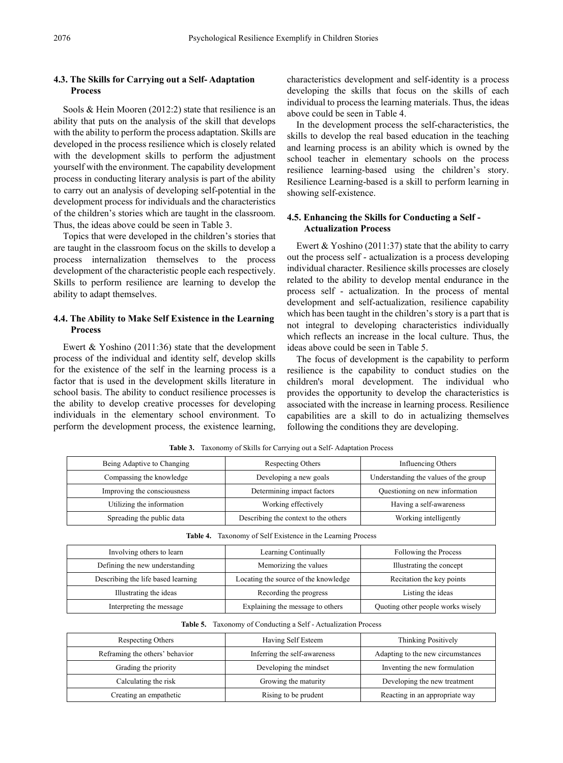## **4.3. The Skills for Carrying out a Self- Adaptation Process**

Sools & Hein Mooren (2012:2) state that resilience is an ability that puts on the analysis of the skill that develops with the ability to perform the process adaptation. Skills are developed in the process resilience which is closely related with the development skills to perform the adjustment yourself with the environment. The capability development process in conducting literary analysis is part of the ability to carry out an analysis of developing self-potential in the development process for individuals and the characteristics of the children's stories which are taught in the classroom. Thus, the ideas above could be seen in Table 3.

Topics that were developed in the children's stories that are taught in the classroom focus on the skills to develop a process internalization themselves to the process development of the characteristic people each respectively. Skills to perform resilience are learning to develop the ability to adapt themselves.

## **4.4. The Ability to Make Self Existence in the Learning Process**

Ewert & Yoshino (2011:36) state that the development process of the individual and identity self, develop skills for the existence of the self in the learning process is a factor that is used in the development skills literature in school basis. The ability to conduct resilience processes is the ability to develop creative processes for developing individuals in the elementary school environment. To perform the development process, the existence learning,

characteristics development and self-identity is a process developing the skills that focus on the skills of each individual to process the learning materials. Thus, the ideas above could be seen in Table 4.

In the development process the self-characteristics, the skills to develop the real based education in the teaching and learning process is an ability which is owned by the school teacher in elementary schools on the process resilience learning-based using the children's story. Resilience Learning-based is a skill to perform learning in showing self-existence.

## **4.5. Enhancing the Skills for Conducting a Self - Actualization Process**

Ewert  $& Yoshino (2011:37)$  state that the ability to carry out the process self - actualization is a process developing individual character. Resilience skills processes are closely related to the ability to develop mental endurance in the process self - actualization. In the process of mental development and self-actualization, resilience capability which has been taught in the children's story is a part that is not integral to developing characteristics individually which reflects an increase in the local culture. Thus, the ideas above could be seen in Table 5.

The focus of development is the capability to perform resilience is the capability to conduct studies on the children's moral development. The individual who provides the opportunity to develop the characteristics is associated with the increase in learning process. Resilience capabilities are a skill to do in actualizing themselves following the conditions they are developing.

| Being Adaptive to Changing  | Respecting Others                    | Influencing Others                    |
|-----------------------------|--------------------------------------|---------------------------------------|
| Compassing the knowledge    | Developing a new goals               | Understanding the values of the group |
| Improving the consciousness | Determining impact factors           | Questioning on new information        |
| Utilizing the information   | Working effectively                  | Having a self-awareness               |
| Spreading the public data   | Describing the context to the others | Working intelligently                 |

**Table 3.** Taxonomy of Skills for Carrying out a Self- Adaptation Process

**Table 4.** Taxonomy of Self Existence in the Learning Process

| Involving others to learn          | Learning Continually                 | Following the Process             |
|------------------------------------|--------------------------------------|-----------------------------------|
| Defining the new understanding     | Memorizing the values                | Illustrating the concept          |
| Describing the life based learning | Locating the source of the knowledge | Recitation the key points         |
| Illustrating the ideas             | Recording the progress               | Listing the ideas                 |
| Interpreting the message           | Explaining the message to others     | Quoting other people works wisely |

**Table 5.** Taxonomy of Conducting a Self - Actualization Process

| Respecting Others              | Having Self Esteem           | Thinking Positively               |
|--------------------------------|------------------------------|-----------------------------------|
| Reframing the others' behavior | Inferring the self-awareness | Adapting to the new circumstances |
| Grading the priority           | Developing the mindset       | Inventing the new formulation     |
| Calculating the risk           | Growing the maturity         | Developing the new treatment      |
| Creating an empathetic         | Rising to be prudent         | Reacting in an appropriate way    |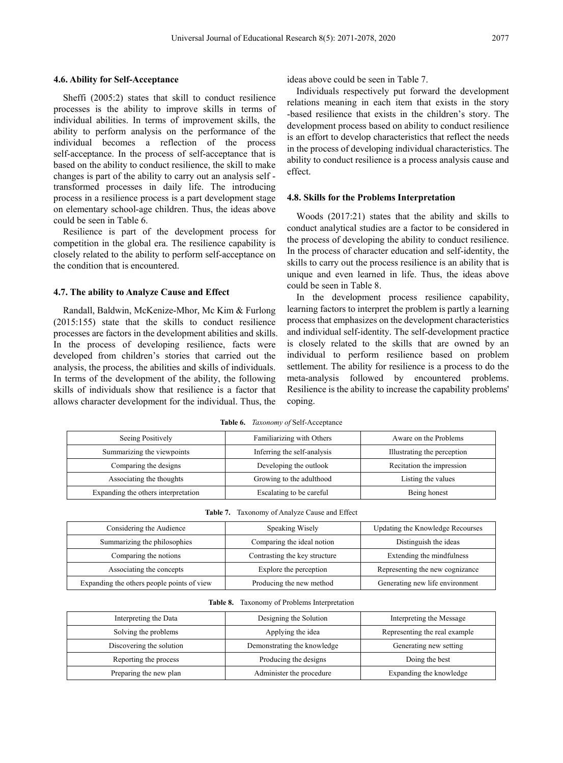#### **4.6. Ability for Self-Acceptance**

Sheffi (2005:2) states that skill to conduct resilience processes is the ability to improve skills in terms of individual abilities. In terms of improvement skills, the ability to perform analysis on the performance of the individual becomes a reflection of the process self-acceptance. In the process of self-acceptance that is based on the ability to conduct resilience, the skill to make changes is part of the ability to carry out an analysis self transformed processes in daily life. The introducing process in a resilience process is a part development stage on elementary school-age children. Thus, the ideas above could be seen in Table 6.

Resilience is part of the development process for competition in the global era. The resilience capability is closely related to the ability to perform self-acceptance on the condition that is encountered.

#### **4.7. The ability to Analyze Cause and Effect**

Randall, Baldwin, McKenize-Mhor, Mc Kim & Furlong (2015:155) state that the skills to conduct resilience processes are factors in the development abilities and skills. In the process of developing resilience, facts were developed from children's stories that carried out the analysis, the process, the abilities and skills of individuals. In terms of the development of the ability, the following skills of individuals show that resilience is a factor that allows character development for the individual. Thus, the

ideas above could be seen in Table 7.

Individuals respectively put forward the development relations meaning in each item that exists in the story -based resilience that exists in the children's story. The development process based on ability to conduct resilience is an effort to develop characteristics that reflect the needs in the process of developing individual characteristics. The ability to conduct resilience is a process analysis cause and effect.

#### **4.8. Skills for the Problems Interpretation**

Woods (2017:21) states that the ability and skills to conduct analytical studies are a factor to be considered in the process of developing the ability to conduct resilience. In the process of character education and self-identity, the skills to carry out the process resilience is an ability that is unique and even learned in life. Thus, the ideas above could be seen in Table 8.

In the development process resilience capability, learning factors to interpret the problem is partly a learning process that emphasizes on the development characteristics and individual self-identity. The self-development practice is closely related to the skills that are owned by an individual to perform resilience based on problem settlement. The ability for resilience is a process to do the meta-analysis followed by encountered problems. Resilience is the ability to increase the capability problems' coping.

| Table 6. | <i>Taxonomy of</i> Self-Acceptance |  |
|----------|------------------------------------|--|
|----------|------------------------------------|--|

| Seeing Positively                   | Familiarizing with Others   | Aware on the Problems       |
|-------------------------------------|-----------------------------|-----------------------------|
| Summarizing the viewpoints          | Inferring the self-analysis | Illustrating the perception |
| Comparing the designs               | Developing the outlook      | Recitation the impression   |
| Associating the thoughts            | Growing to the adulthood    | Listing the values          |
| Expanding the others interpretation | Escalating to be careful    | Being honest                |

|  | <b>Table 7.</b> Taxonomy of Analyze Cause and Effect |  |  |  |  |
|--|------------------------------------------------------|--|--|--|--|
|--|------------------------------------------------------|--|--|--|--|

| Considering the Audience                   | Speaking Wisely               | Updating the Knowledge Recourses |
|--------------------------------------------|-------------------------------|----------------------------------|
| Summarizing the philosophies               | Comparing the ideal notion    | Distinguish the ideas            |
| Comparing the notions                      | Contrasting the key structure | Extending the mindfulness        |
| Associating the concepts                   | Explore the perception        | Representing the new cognizance  |
| Expanding the others people points of view | Producing the new method      | Generating new life environment  |

| Table 8. |  |  | Taxonomy of Problems Interpretation |
|----------|--|--|-------------------------------------|
|----------|--|--|-------------------------------------|

| Interpreting the Data    | Designing the Solution      | Interpreting the Message      |
|--------------------------|-----------------------------|-------------------------------|
| Solving the problems     | Applying the idea           | Representing the real example |
| Discovering the solution | Demonstrating the knowledge | Generating new setting        |
| Reporting the process    | Producing the designs       | Doing the best                |
| Preparing the new plan   | Administer the procedure    | Expanding the knowledge       |